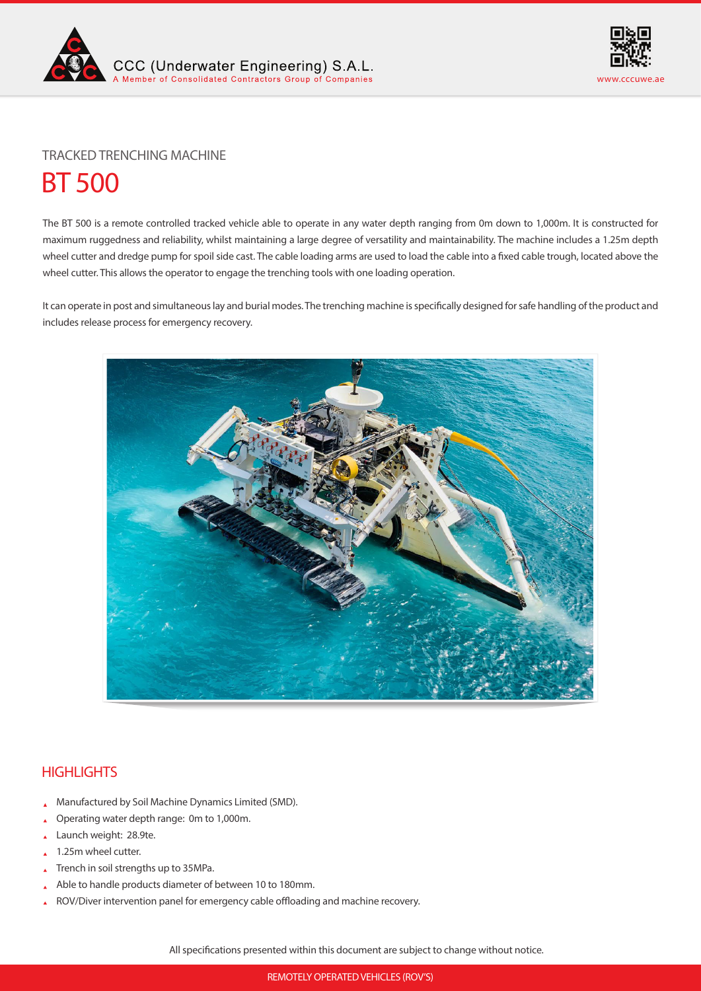



# BT 500 TRACKED TRENCHING MACHINE

The BT 500 is a remote controlled tracked vehicle able to operate in any water depth ranging from 0m down to 1,000m. It is constructed for maximum ruggedness and reliability, whilst maintaining a large degree of versatility and maintainability. The machine includes a 1.25m depth wheel cutter and dredge pump for spoil side cast. The cable loading arms are used to load the cable into a fixed cable trough, located above the wheel cutter. This allows the operator to engage the trenching tools with one loading operation.

It can operate in post and simultaneous lay and burial modes. The trenching machine is specifically designed for safe handling of the product and includes release process for emergency recovery.



# **HIGHLIGHTS**

- Manufactured by Soil Machine Dynamics Limited (SMD).
- Operating water depth range: 0m to 1,000m.
- Launch weight: 28.9te.
- 1.25m wheel cutter.
- Trench in soil strengths up to 35MPa.
- Able to handle products diameter of between 10 to 180mm.
- ROV/Diver intervention panel for emergency cable offloading and machine recovery.

All specifications presented within this document are subject to change without notice.